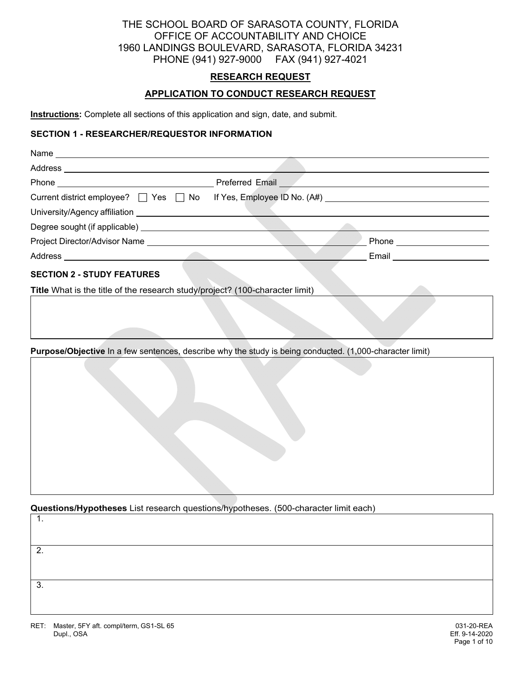# THE SCHOOL BOARD OF SARASOTA COUNTY, FLORIDA OFFICE OF ACCOUNTABILITY AND CHOICE 1960 LANDINGS BOULEVARD, SARASOTA, FLORIDA 34231 PHONE (941) 927-9000 FAX (941) 927-4021

## **RESEARCH REQUEST**

## **APPLICATION TO CONDUCT RESEARCH REQUEST**

**Instructions:** Complete all sections of this application and sign, date, and submit.

### **SECTION 1 - RESEARCHER/REQUESTOR INFORMATION**

| Current district employee? □ Yes □ No If Yes, Employee ID No. (A#) ________________________________               |                               |
|-------------------------------------------------------------------------------------------------------------------|-------------------------------|
|                                                                                                                   |                               |
|                                                                                                                   |                               |
|                                                                                                                   | Phone _______________________ |
|                                                                                                                   |                               |
| <b>SECTION 2 - STUDY FEATURES</b><br>Title What is the title of the research study/project? (100-character limit) |                               |
|                                                                                                                   |                               |
| Purpose/Objective In a few sentences, describe why the study is being conducted. (1,000-character limit)          |                               |
|                                                                                                                   |                               |

**Questions/Hypotheses** List research questions/hypotheses. (500-character limit each)

1. 2. 3.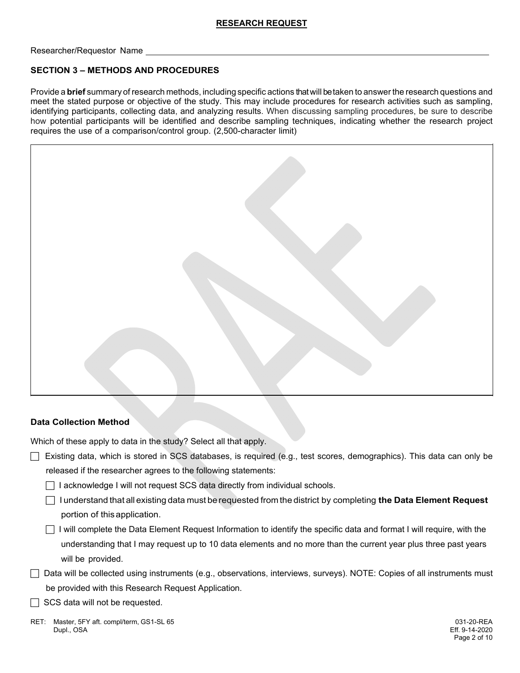Researcher/Requestor Name

## **SECTION 3 – METHODS AND PROCEDURES**

Provide a **brief** summary of research methods, including specific actions that will be taken to answer the research questions and meet the stated purpose or objective of the study. This may include procedures for research activities such as sampling, identifying participants, collecting data, and analyzing results. When discussing sampling procedures, be sure to describe how potential participants will be identified and describe sampling techniques, indicating whether the research project requires the use of a comparison/control group. (2,500-character limit)



## **Data Collection Method**

Which of these apply to data in the study? Select all that apply.

- $\Box$  Existing data, which is stored in SCS databases, is required (e.g., test scores, demographics). This data can only be released if the researcher agrees to the following statements:
	- □ I acknowledge I will not request SCS data directly from individual schools.
	- $\Box$  I understand that all existing data must be requested from the district by completing **the Data Element Request** portion of this application.
	- $\Box$  I will complete the Data Element Request Information to identify the specific data and format I will require, with the understanding that I may request up to 10 data elements and no more than the current year plus three past years will be provided.
- $\Box$  Data will be collected using instruments (e.g., observations, interviews, surveys). NOTE: Copies of all instruments must be provided with this Research Request Application.
- $\Box$  SCS data will not be requested.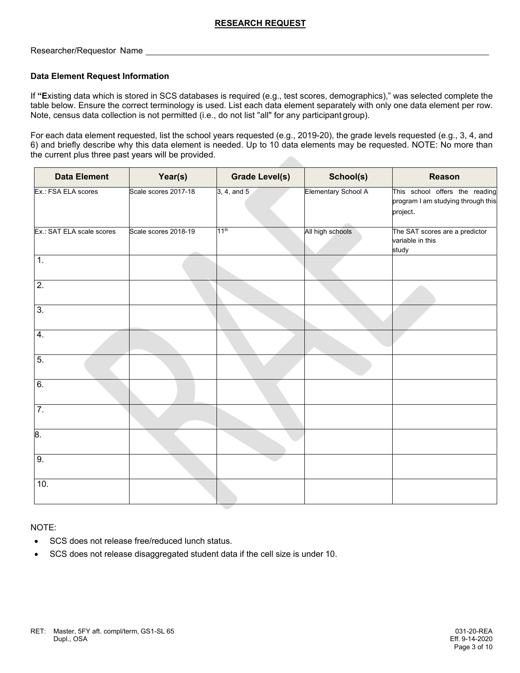Researcher/Requestor Name

#### **Data Element Request Information**

If **"E**xisting data which is stored in SCS databases is required (e.g., test scores, demographics)," was selected complete the table below. Ensure the correct terminology is used. List each data element separately with only one data element per row. Note, census data collection is not permitted (i.e., do not list "all" for any participant group).

For each data element requested, list the school years requested (e.g., 2019-20), the grade levels requested (e.g., 3, 4, and 6) and briefly describe why this data element is needed. Up to 10 data elements may be requested. NOTE: No more than the current plus three past years will be provided.

| <b>Data Element</b>       | Year(s)              | <b>Grade Level(s)</b> | School(s)           | <b>Reason</b>                                                                    |
|---------------------------|----------------------|-----------------------|---------------------|----------------------------------------------------------------------------------|
| Ex.: FSA ELA scores       | Scale scores 2017-18 | 3, 4, and 5           | Elementary School A | This school offers the reading<br>program I am studying through this<br>project. |
| Ex.: SAT ELA scale scores | Scale scores 2018-19 | 11 <sup>th</sup>      | All high schools    | The SAT scores are a predictor<br>variable in this<br>study                      |
| $\overline{1}$ .          |                      |                       |                     |                                                                                  |
| $\overline{2}$            |                      |                       |                     |                                                                                  |
| 3.                        |                      |                       |                     |                                                                                  |
| 4.                        |                      |                       |                     |                                                                                  |
| $\overline{5}$ .          |                      |                       |                     |                                                                                  |
| 6.                        |                      |                       |                     |                                                                                  |
| 7.                        |                      |                       |                     |                                                                                  |
| 8.                        |                      |                       |                     |                                                                                  |
| 9.                        |                      |                       |                     |                                                                                  |
| 10.                       |                      |                       |                     |                                                                                  |

NOTE:

- SCS does not release free/reduced lunch status.
- SCS does not release disaggregated student data if the cell size is under 10.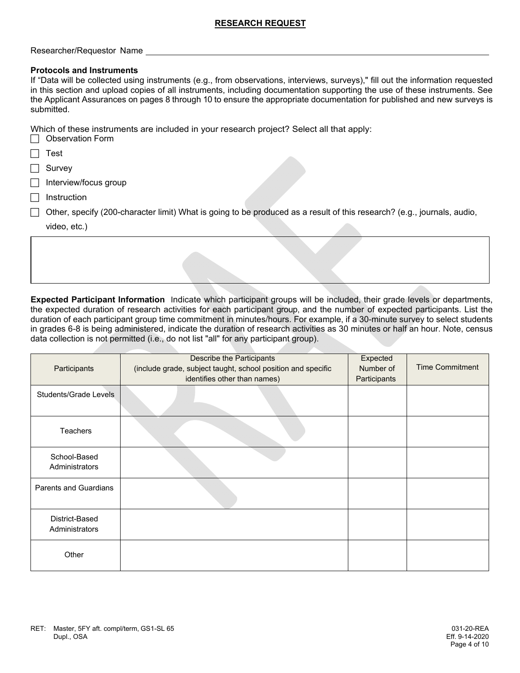#### Researcher/Requestor Name

#### **Protocols and Instruments**

If "Data will be collected using instruments (e.g., from observations, interviews, surveys)," fill out the information requested in this section and upload copies of all instruments, including documentation supporting the use of these instruments. See the Applicant Assurances on pages 8 through 10 to ensure the appropriate documentation for published and new surveys is submitted.

Which of these instruments are included in your research project? Select all that apply:  $\Box$  Observation  $\Gamma_{\Omega}$ 

| ODSEIVATION FOND                                                                                                        |
|-------------------------------------------------------------------------------------------------------------------------|
| Test                                                                                                                    |
| Survey                                                                                                                  |
| Interview/focus group                                                                                                   |
| Instruction                                                                                                             |
| Other, specify (200-character limit) What is going to be produced as a result of this research? (e.g., journals, audio, |
| video, etc.)                                                                                                            |
|                                                                                                                         |
|                                                                                                                         |
|                                                                                                                         |

**Expected Participant Information** Indicate which participant groups will be included, their grade levels or departments, the expected duration of research activities for each participant group, and the number of expected participants. List the duration of each participant group time commitment in minutes/hours. For example, if a 30-minute survey to select students in grades 6-8 is being administered, indicate the duration of research activities as 30 minutes or half an hour. Note, census data collection is not permitted (i.e., do not list "all" for any participant group).

| Participants                     | Describe the Participants<br>(include grade, subject taught, school position and specific<br>identifies other than names) | Expected<br>Number of<br>Participants | <b>Time Commitment</b> |
|----------------------------------|---------------------------------------------------------------------------------------------------------------------------|---------------------------------------|------------------------|
| Students/Grade Levels            |                                                                                                                           |                                       |                        |
| Teachers                         |                                                                                                                           |                                       |                        |
| School-Based<br>Administrators   |                                                                                                                           |                                       |                        |
| <b>Parents and Guardians</b>     |                                                                                                                           |                                       |                        |
| District-Based<br>Administrators |                                                                                                                           |                                       |                        |
| Other                            |                                                                                                                           |                                       |                        |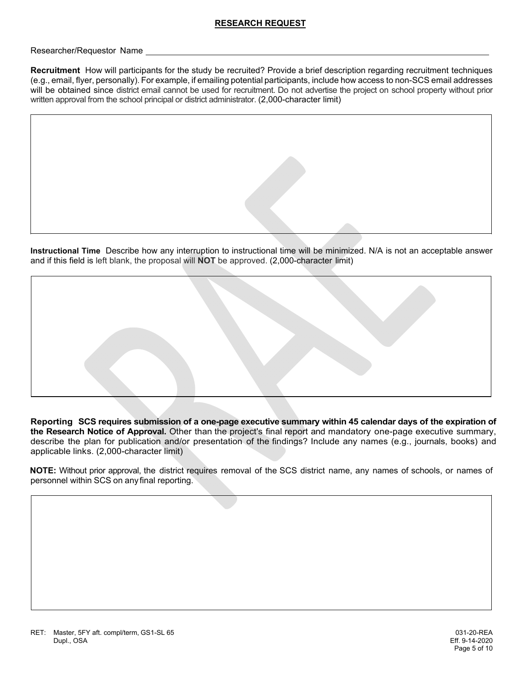Researcher/Requestor Name

**Recruitment** How will participants for the study be recruited? Provide a brief description regarding recruitment techniques (e.g., email, flyer, personally). For example, if emailing potential participants, include how access to non-SCS email addresses will be obtained since district email cannot be used for recruitment. Do not advertise the project on school property without prior written approval from the school principal or district administrator. (2,000-character limit)

**Instructional Time** Describe how any interruption to instructional time will be minimized. N/A is not an acceptable answer and if this field is left blank, the proposal will **NOT** be approved. (2,000-character limit)

**Reporting SCS requires submission of a one-page executive summary within 45 calendar days of the expiration of the Research Notice of Approval.** Other than the project's final report and mandatory one-page executive summary, describe the plan for publication and/or presentation of the findings? Include any names (e.g., journals, books) and applicable links. (2,000-character limit)

**NOTE:** Without prior approval, the district requires removal of the SCS district name, any names of schools, or names of personnel within SCS on any final reporting.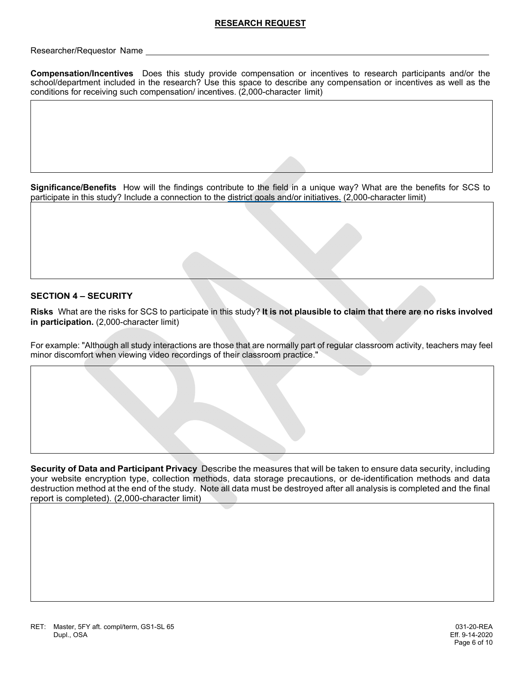Researcher/Requestor Name

**Compensation/Incentives** Does this study provide compensation or incentives to research participants and/or the school/department included in the research? Use this space to describe any compensation or incentives as well as the conditions for receiving such compensation/ incentives. (2,000-character limit)

**Significance/Benefits** How will the findings contribute to the field in a unique way? What are the benefits for SCS to participate in this study? Include a connection to the district goals and/or initiatives. (2,000-character limit)

## **SECTION 4 – SECURITY**

**Risks** What are the risks for SCS to participate in this study? **It is not plausible to claim that there are no risks involved in participation.** (2,000-character limit)

For example: "Although all study interactions are those that are normally part of regular classroom activity, teachers may feel minor discomfort when viewing video recordings of their classroom practice."

**Security of Data and Participant Privacy** Describe the measures that will be taken to ensure data security, including your website encryption type, collection methods, data storage precautions, or de-identification methods and data destruction method at the end of the study. Note all data must be destroyed after all analysis is completed and the final report is completed). (2,000-character limit)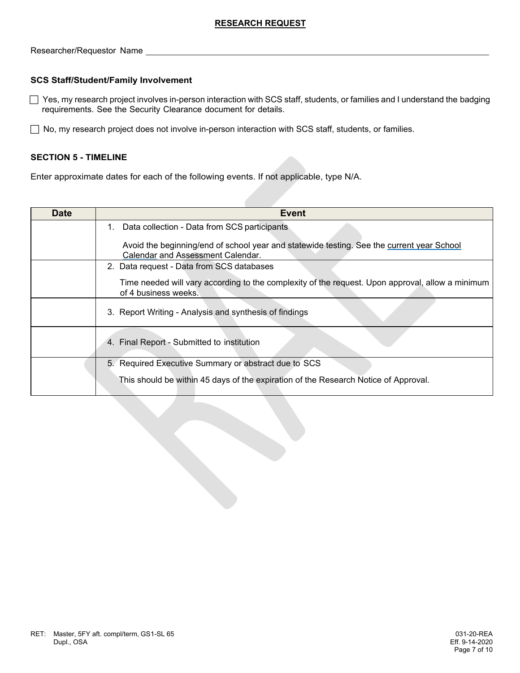Researcher/Requestor Name

## **SCS Staff/Student/Family Involvement**

 $\Box$  Yes, my research project involves in-person interaction with SCS staff, students, or families and I understand the badging requirements. See the Security Clearance document for details.

◯ No, my research project does not involve in-person interaction with SCS staff, students, or families.

#### **SECTION 5 - TIMELINE**

Enter approximate dates for each of the following events. If not applicable, type N/A.

| <b>Date</b> | Event                                                                                                                          |
|-------------|--------------------------------------------------------------------------------------------------------------------------------|
|             | Data collection - Data from SCS participants<br>$1_{\cdot}$                                                                    |
|             | Avoid the beginning/end of school year and statewide testing. See the current year School<br>Calendar and Assessment Calendar. |
|             | 2. Data request - Data from SCS databases                                                                                      |
|             | Time needed will vary according to the complexity of the request. Upon approval, allow a minimum<br>of 4 business weeks.       |
|             | 3. Report Writing - Analysis and synthesis of findings                                                                         |
|             | 4. Final Report - Submitted to institution                                                                                     |
|             | 5. Required Executive Summary or abstract due to SCS                                                                           |
|             | This should be within 45 days of the expiration of the Research Notice of Approval.                                            |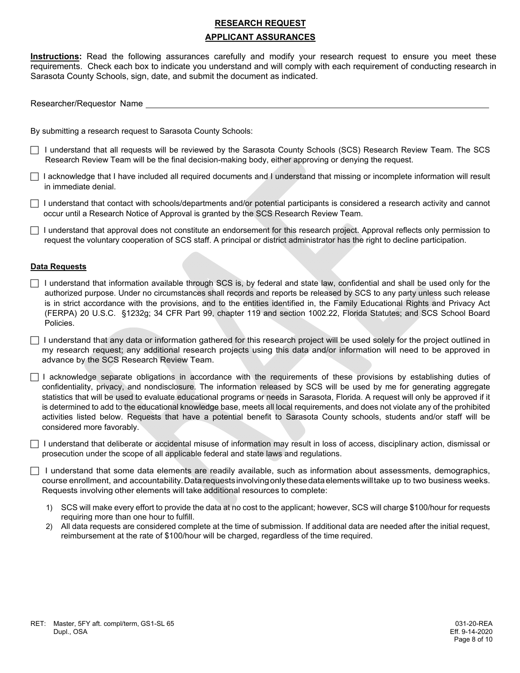# **RESEARCH REQUEST APPLICANT ASSURANCES**

**Instructions:** Read the following assurances carefully and modify your research request to ensure you meet these requirements. Check each box to indicate you understand and will comply with each requirement of conducting research in Sarasota County Schools, sign, date, and submit the document as indicated.

Researcher/Requestor Name

By submitting a research request to Sarasota County Schools:

 I understand that all requests will be reviewed by the Sarasota County Schools (SCS) Research Review Team. The SCS Research Review Team will be the final decision-making body, either approving or denying the request.

 $\Box$  I acknowledge that I have included all required documents and I understand that missing or incomplete information will result in immediate denial.

 $\Box$  I understand that contact with schools/departments and/or potential participants is considered a research activity and cannot occur until a Research Notice of Approval is granted by the SCS Research Review Team.

 $\Box$  I understand that approval does not constitute an endorsement for this research project. Approval reflects only permission to request the voluntary cooperation of SCS staff. A principal or district administrator has the right to decline participation.

#### **Data Requests**

- $\Box$  I understand that information available through SCS is, by federal and state law, confidential and shall be used only for the authorized purpose. Under no circumstances shall records and reports be released by SCS to any party unless such release is in strict accordance with the provisions, and to the entities identified in, the Family Educational Rights and Privacy Act (FERPA) 20 U.S.C. §1232g; 34 CFR Part 99, chapter 119 and section 1002.22, Florida Statutes; and SCS School Board Policies.
- I understand that any data or information gathered for this research project will be used solely for the project outlined in my research request; any additional research projects using this data and/or information will need to be approved in advance by the SCS Research Review Team.

 $\Box$  I acknowledge separate obligations in accordance with the requirements of these provisions by establishing duties of confidentiality, privacy, and nondisclosure. The information released by SCS will be used by me for generating aggregate statistics that will be used to evaluate educational programs or needs in Sarasota, Florida. A request will only be approved if it is determined to add to the educational knowledge base, meets all local requirements, and does not violate any of the prohibited activities listed below. Requests that have a potential benefit to Sarasota County schools, students and/or staff will be considered more favorably.

 $\Box$  I understand that deliberate or accidental misuse of information may result in loss of access, disciplinary action, dismissal or prosecution under the scope of all applicable federal and state laws and regulations.

 $\Box$  I understand that some data elements are readily available, such as information about assessments, demographics, course enrollment, and accountability. Data requests involving only these data elements will take up to two business weeks. Requests involving other elements will take additional resources to complete:

- 1) SCS will make every effort to provide the data at no cost to the applicant; however, SCS will charge \$100/hour for requests requiring more than one hour to fulfill.
- 2) All data requests are considered complete at the time of submission. If additional data are needed after the initial request, reimbursement at the rate of \$100/hour will be charged, regardless of the time required.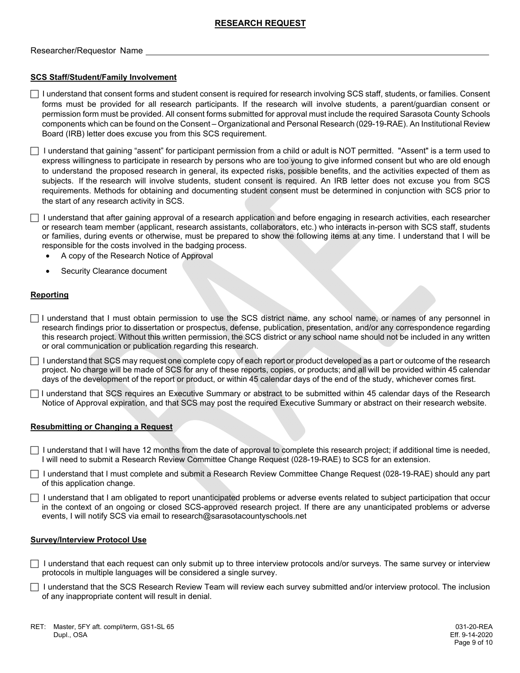#### Researcher/Requestor Name

#### **SCS Staff/Student/Family Involvement**

 I understand that consent forms and student consent is required for research involving SCS staff, students, or families. Consent forms must be provided for all research participants. If the research will involve students, a parent/guardian consent or permission form must be provided. All consent forms submitted for approval must include the required Sarasota County Schools components which can be found on the Consent – Organizational and Personal Research (029-19-RAE). An Institutional Review Board (IRB) letter does excuse you from this SCS requirement.

 I understand that gaining "assent" for participant permission from a child or adult is NOT permitted. "Assent" is a term used to express willingness to participate in research by persons who are too young to give informed consent but who are old enough to understand the proposed research in general, its expected risks, possible benefits, and the activities expected of them as subjects. If the research will involve students, student consent is required. An IRB letter does not excuse you from SCS requirements. Methods for obtaining and documenting student consent must be determined in conjunction with SCS prior to the start of any research activity in SCS.

 $\Box$  I understand that after gaining approval of a research application and before engaging in research activities, each researcher or research team member (applicant, research assistants, collaborators, etc.) who interacts in-person with SCS staff, students or families, during events or otherwise, must be prepared to show the following items at any time. I understand that I will be responsible for the costs involved in the badging process.

- A copy of the Research Notice of Approval
- Security Clearance document

#### **Reporting**

 $\Box$  I understand that I must obtain permission to use the SCS district name, any school name, or names of any personnel in research findings prior to dissertation or prospectus, defense, publication, presentation, and/or any correspondence regarding this research project. Without this written permission, the SCS district or any school name should not be included in any written or oral communication or publication regarding this research.

 $\Box$  I understand that SCS may request one complete copy of each report or product developed as a part or outcome of the research project. No charge will be made of SCS for any of these reports, copies, or products; and all will be provided within 45 calendar days of the development of the report or product, or within 45 calendar days of the end of the study, whichever comes first.

 I understand that SCS requires an Executive Summary or abstract to be submitted within 45 calendar days of the Research Notice of Approval expiration, and that SCS may post the required Executive Summary or abstract on their research website.

#### **Resubmitting or Changing a Request**

 $\Box$  I understand that I will have 12 months from the date of approval to complete this research project; if additional time is needed, I will need to submit a Research Review Committee Change Request (028-19-RAE) to SCS for an extension.

 I understand that I must complete and submit a Research Review Committee Change Request (028-19-RAE) should any part of this application change.

 $\Box$  I understand that I am obligated to report unanticipated problems or adverse events related to subject participation that occur in the context of an ongoing or closed SCS-approved research project. If there are any unanticipated problems or adverse events, I will notify SCS via email to research@sarasotacountyschools.net

#### **Survey/Interview Protocol Use**

 $\Box$  I understand that each request can only submit up to three interview protocols and/or surveys. The same survey or interview protocols in multiple languages will be considered a single survey.

 $\Box$  I understand that the SCS Research Review Team will review each survey submitted and/or interview protocol. The inclusion of any inappropriate content will result in denial.